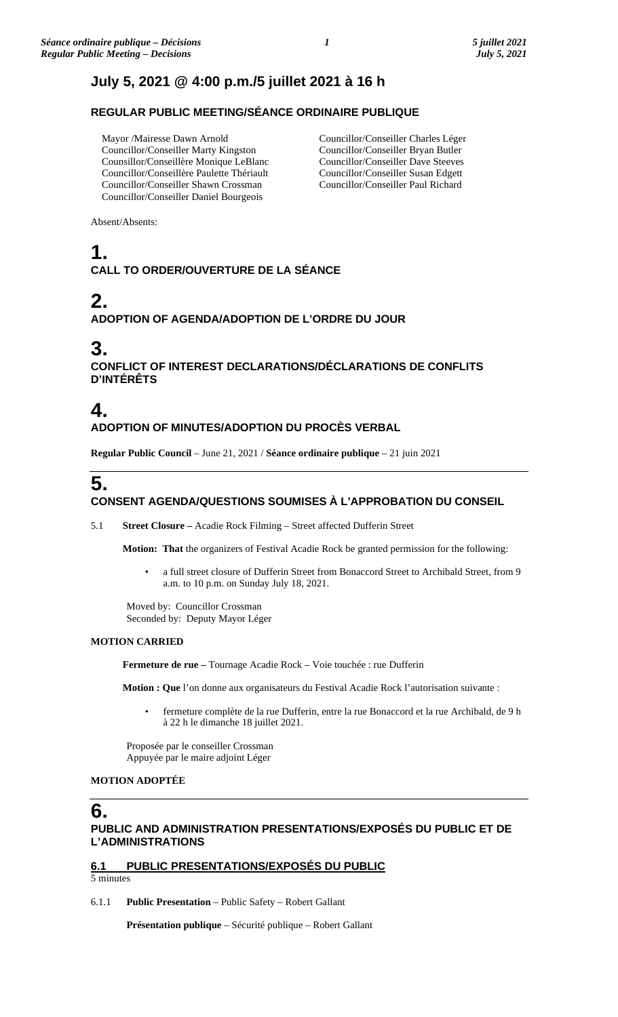## **July 5, 2021 @ 4:00 p.m./5 juillet 2021 à 16 h**

## **REGULAR PUBLIC MEETING/SÉANCE ORDINAIRE PUBLIQUE**

Mayor /Mairesse Dawn Arnold Councillor/Conseiller Marty Kingston Counsillor/Conseillère Monique LeBlanc Councillor/Conseillère Paulette Thériault Councillor/Conseiller Shawn Crossman Councillor/Conseiller Daniel Bourgeois

Councillor/Conseiller Charles Léger Councillor/Conseiller Bryan Butler Councillor/Conseiller Dave Steeves Councillor/Conseiller Susan Edgett Councillor/Conseiller Paul Richard

Absent/Absents:

## **1. CALL TO ORDER/OUVERTURE DE LA SÉANCE**

# **2.**

## **ADOPTION OF AGENDA/ADOPTION DE L'ORDRE DU JOUR**

## **3.**

**CONFLICT OF INTEREST DECLARATIONS/DÉCLARATIONS DE CONFLITS D'INTÉRÊTS**

## **4. ADOPTION OF MINUTES/ADOPTION DU PROCÈS VERBAL**

**Regular Public Council** – June 21, 2021 / **Séance ordinaire publique** – 21 juin 2021

# **5.**

## **CONSENT AGENDA/QUESTIONS SOUMISES À L'APPROBATION DU CONSEIL**

5.1 **Street Closure –** Acadie Rock Filming – Street affected Dufferin Street

**Motion: That** the organizers of Festival Acadie Rock be granted permission for the following:

• a full street closure of Dufferin Street from Bonaccord Street to Archibald Street, from 9 a.m. to 10 p.m. on Sunday July 18, 2021.

Moved by: Councillor Crossman Seconded by: Deputy Mayor Léger

### **MOTION CARRIED**

**Fermeture de rue –** Tournage Acadie Rock – Voie touchée : rue Dufferin

**Motion : Que** l'on donne aux organisateurs du Festival Acadie Rock l'autorisation suivante :

• fermeture complète de la rue Dufferin, entre la rue Bonaccord et la rue Archibald, de 9 h à 22 h le dimanche 18 juillet 2021.

Proposée par le conseiller Crossman Appuyée par le maire adjoint Léger

### **MOTION ADOPTÉE**

## **6.**

## **PUBLIC AND ADMINISTRATION PRESENTATIONS/EXPOSÉS DU PUBLIC ET DE L'ADMINISTRATIONS**

## **6.1 PUBLIC PRESENTATIONS/EXPOSÉS DU PUBLIC**

5 minutes

6.1.1 **Public Presentation** – Public Safety – Robert Gallant

**Présentation publique** – Sécurité publique – Robert Gallant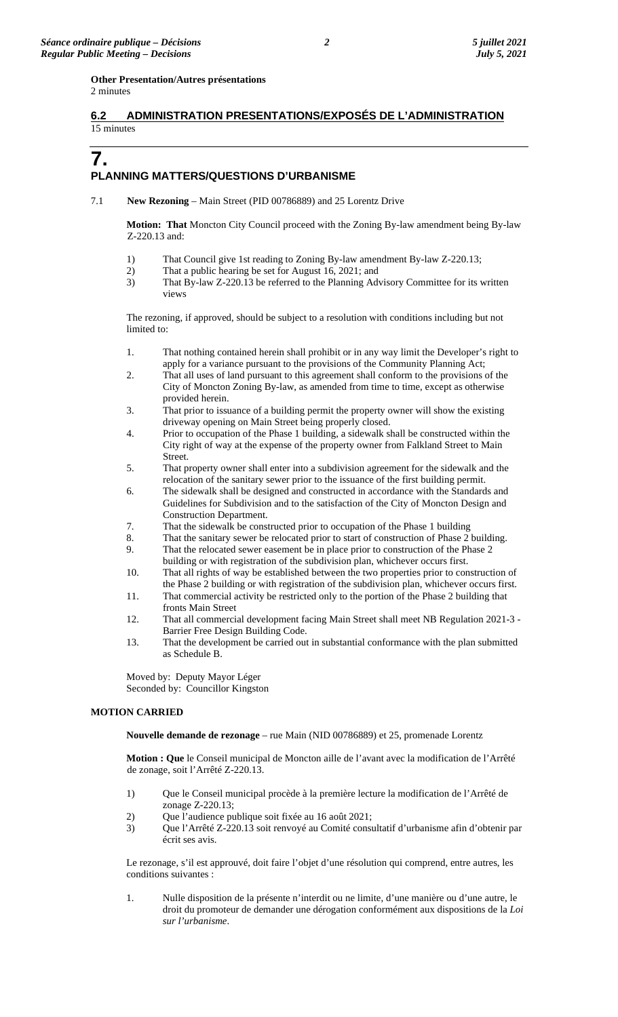### **Other Presentation/Autres présentations**

2 minutes

## **6.2 ADMINISTRATION PRESENTATIONS/EXPOSÉS DE L'ADMINISTRATION**  15 minutes

## **7.**

## **PLANNING MATTERS/QUESTIONS D'URBANISME**

7.1 **New Rezoning** – Main Street (PID 00786889) and 25 Lorentz Drive

**Motion: That** Moncton City Council proceed with the Zoning By-law amendment being By-law Z-220.13 and:

- 1) That Council give 1st reading to Zoning By-law amendment By-law Z-220.13;
- 2) That a public hearing be set for August 16, 2021; and
- 3) That By-law Z-220.13 be referred to the Planning Advisory Committee for its written views

The rezoning, if approved, should be subject to a resolution with conditions including but not limited to:

- 1. That nothing contained herein shall prohibit or in any way limit the Developer's right to apply for a variance pursuant to the provisions of the Community Planning Act;
- 2. That all uses of land pursuant to this agreement shall conform to the provisions of the City of Moncton Zoning By-law, as amended from time to time, except as otherwise provided herein.
- 3. That prior to issuance of a building permit the property owner will show the existing driveway opening on Main Street being properly closed.
- 4. Prior to occupation of the Phase 1 building, a sidewalk shall be constructed within the City right of way at the expense of the property owner from Falkland Street to Main Street.
- 5. That property owner shall enter into a subdivision agreement for the sidewalk and the relocation of the sanitary sewer prior to the issuance of the first building permit.
- 6. The sidewalk shall be designed and constructed in accordance with the Standards and Guidelines for Subdivision and to the satisfaction of the City of Moncton Design and Construction Department.
- 7. That the sidewalk be constructed prior to occupation of the Phase 1 building
- 8. That the sanitary sewer be relocated prior to start of construction of Phase 2 building.
- 9. That the relocated sewer easement be in place prior to construction of the Phase 2 building or with registration of the subdivision plan, whichever occurs first.
- 10. That all rights of way be established between the two properties prior to construction of the Phase 2 building or with registration of the subdivision plan, whichever occurs first.
- 11. That commercial activity be restricted only to the portion of the Phase 2 building that fronts Main Street
- 12. That all commercial development facing Main Street shall meet NB Regulation 2021-3 Barrier Free Design Building Code.
- 13. That the development be carried out in substantial conformance with the plan submitted as Schedule B.

Moved by: Deputy Mayor Léger Seconded by: Councillor Kingston

### **MOTION CARRIED**

**Nouvelle demande de rezonage** – rue Main (NID 00786889) et 25, promenade Lorentz

**Motion : Que** le Conseil municipal de Moncton aille de l'avant avec la modification de l'Arrêté de zonage, soit l'Arrêté Z-220.13.

- 1) Que le Conseil municipal procède à la première lecture la modification de l'Arrêté de zonage Z-220.13;
- 2) Que l'audience publique soit fixée au 16 août 2021;
- 3) Que l'Arrêté Z-220.13 soit renvoyé au Comité consultatif d'urbanisme afin d'obtenir par écrit ses avis.

Le rezonage, s'il est approuvé, doit faire l'objet d'une résolution qui comprend, entre autres, les conditions suivantes :

1. Nulle disposition de la présente n'interdit ou ne limite, d'une manière ou d'une autre, le droit du promoteur de demander une dérogation conformément aux dispositions de la *Loi sur l'urbanisme*.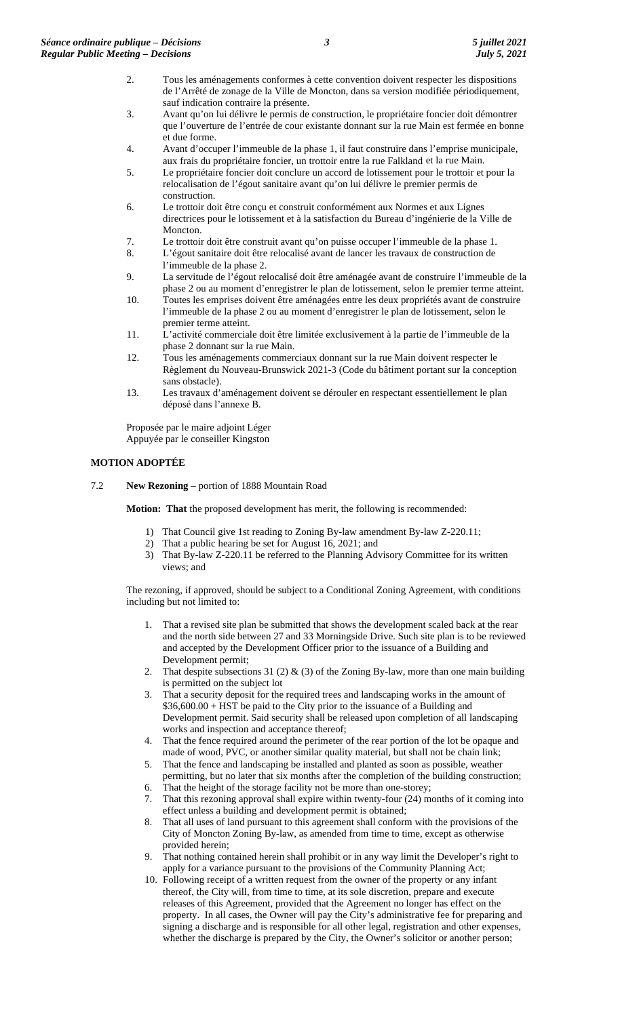- 2. Tous les aménagements conformes à cette convention doivent respecter les dispositions de l'Arrêté de zonage de la Ville de Moncton, dans sa version modifiée périodiquement, sauf indication contraire la présente.
- 3. Avant qu'on lui délivre le permis de construction, le propriétaire foncier doit démontrer que l'ouverture de l'entrée de cour existante donnant sur la rue Main est fermée en bonne et due forme.
- 4. Avant d'occuper l'immeuble de la phase 1, il faut construire dans l'emprise municipale, aux frais du propriétaire foncier, un trottoir entre la rue Falkland et la rue Main.
- 5. Le propriétaire foncier doit conclure un accord de lotissement pour le trottoir et pour la relocalisation de l'égout sanitaire avant qu'on lui délivre le premier permis de construction.
- 6. Le trottoir doit être conçu et construit conformément aux Normes et aux Lignes directrices pour le lotissement et à la satisfaction du Bureau d'ingénierie de la Ville de Moncton.
- 7. Le trottoir doit être construit avant qu'on puisse occuper l'immeuble de la phase 1.
- 8. L'égout sanitaire doit être relocalisé avant de lancer les travaux de construction de l'immeuble de la phase 2.
- 9. La servitude de l'égout relocalisé doit être aménagée avant de construire l'immeuble de la phase 2 ou au moment d'enregistrer le plan de lotissement, selon le premier terme atteint.
- 10. Toutes les emprises doivent être aménagées entre les deux propriétés avant de construire l'immeuble de la phase 2 ou au moment d'enregistrer le plan de lotissement, selon le premier terme atteint.
- 11. L'activité commerciale doit être limitée exclusivement à la partie de l'immeuble de la phase 2 donnant sur la rue Main.
- 12. Tous les aménagements commerciaux donnant sur la rue Main doivent respecter le Règlement du Nouveau-Brunswick 2021-3 (Code du bâtiment portant sur la conception sans obstacle).
- 13. Les travaux d'aménagement doivent se dérouler en respectant essentiellement le plan déposé dans l'annexe B.

Proposée par le maire adjoint Léger Appuyée par le conseiller Kingston

### **MOTION ADOPTÉE**

7.2 **New Rezoning** – portion of 1888 Mountain Road

**Motion: That** the proposed development has merit, the following is recommended:

- 1) That Council give 1st reading to Zoning By-law amendment By-law Z-220.11;
- 2) That a public hearing be set for August 16, 2021; and
- 3) That By-law Z-220.11 be referred to the Planning Advisory Committee for its written views; and

The rezoning, if approved, should be subject to a Conditional Zoning Agreement, with conditions including but not limited to:

- 1. That a revised site plan be submitted that shows the development scaled back at the rear and the north side between 27 and 33 Morningside Drive. Such site plan is to be reviewed and accepted by the Development Officer prior to the issuance of a Building and Development permit;
- 2. That despite subsections 31 (2) & (3) of the Zoning By-law, more than one main building is permitted on the subject lot
- 3. That a security deposit for the required trees and landscaping works in the amount of \$36,600.00 + HST be paid to the City prior to the issuance of a Building and Development permit. Said security shall be released upon completion of all landscaping works and inspection and acceptance thereof;
- 4. That the fence required around the perimeter of the rear portion of the lot be opaque and made of wood, PVC, or another similar quality material, but shall not be chain link;
- 5. That the fence and landscaping be installed and planted as soon as possible, weather permitting, but no later that six months after the completion of the building construction;
- 6. That the height of the storage facility not be more than one-storey;<br>7. That this rezoning approval shall expire within twenty-four (24) means That this rezoning approval shall expire within twenty-four (24) months of it coming into effect unless a building and development permit is obtained;
- 8. That all uses of land pursuant to this agreement shall conform with the provisions of the City of Moncton Zoning By-law, as amended from time to time, except as otherwise provided herein;
- 9. That nothing contained herein shall prohibit or in any way limit the Developer's right to apply for a variance pursuant to the provisions of the Community Planning Act;
- 10. Following receipt of a written request from the owner of the property or any infant thereof, the City will, from time to time, at its sole discretion, prepare and execute releases of this Agreement, provided that the Agreement no longer has effect on the property. In all cases, the Owner will pay the City's administrative fee for preparing and signing a discharge and is responsible for all other legal, registration and other expenses, whether the discharge is prepared by the City, the Owner's solicitor or another person;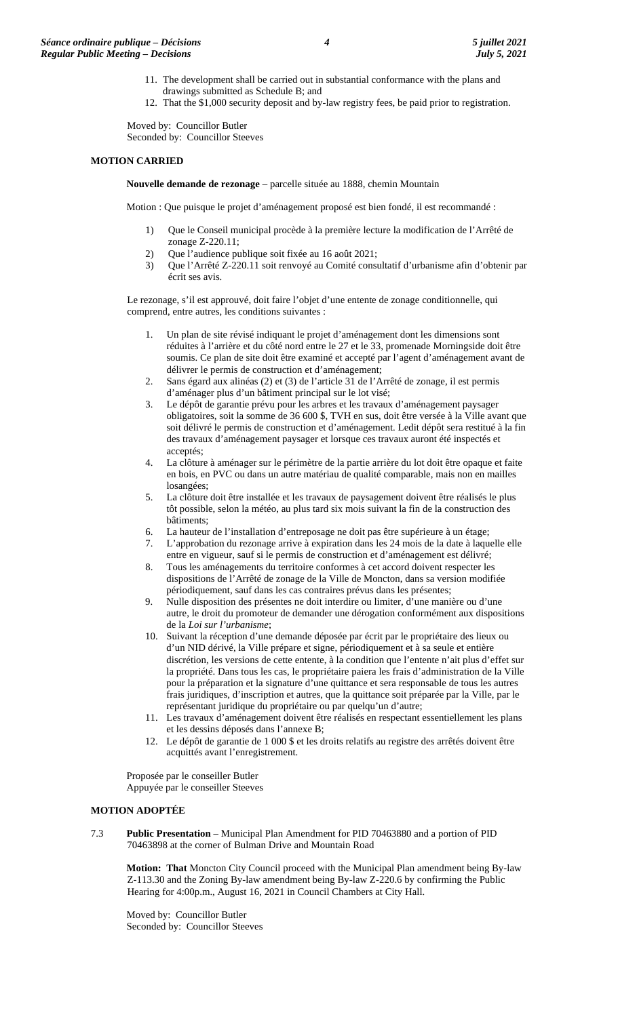- 11. The development shall be carried out in substantial conformance with the plans and drawings submitted as Schedule B; and
- 12. That the \$1,000 security deposit and by-law registry fees, be paid prior to registration.

Moved by: Councillor Butler Seconded by: Councillor Steeves

#### **MOTION CARRIED**

**Nouvelle demande de rezonage** – parcelle située au 1888, chemin Mountain

Motion : Que puisque le projet d'aménagement proposé est bien fondé, il est recommandé :

- 1) Que le Conseil municipal procède à la première lecture la modification de l'Arrêté de zonage Z-220.11;
- 2) Que l'audience publique soit fixée au 16 août 2021;
- 3) Que l'Arrêté Z-220.11 soit renvoyé au Comité consultatif d'urbanisme afin d'obtenir par écrit ses avis.

Le rezonage, s'il est approuvé, doit faire l'objet d'une entente de zonage conditionnelle, qui comprend, entre autres, les conditions suivantes :

- 1. Un plan de site révisé indiquant le projet d'aménagement dont les dimensions sont réduites à l'arrière et du côté nord entre le 27 et le 33, promenade Morningside doit être soumis. Ce plan de site doit être examiné et accepté par l'agent d'aménagement avant de délivrer le permis de construction et d'aménagement;
- 2. Sans égard aux alinéas (2) et (3) de l'article 31 de l'Arrêté de zonage, il est permis d'aménager plus d'un bâtiment principal sur le lot visé;
- 3. Le dépôt de garantie prévu pour les arbres et les travaux d'aménagement paysager obligatoires, soit la somme de 36 600 \$, TVH en sus, doit être versée à la Ville avant que soit délivré le permis de construction et d'aménagement. Ledit dépôt sera restitué à la fin des travaux d'aménagement paysager et lorsque ces travaux auront été inspectés et acceptés;
- 4. La clôture à aménager sur le périmètre de la partie arrière du lot doit être opaque et faite en bois, en PVC ou dans un autre matériau de qualité comparable, mais non en mailles losangées;
- 5. La clôture doit être installée et les travaux de paysagement doivent être réalisés le plus tôt possible, selon la météo, au plus tard six mois suivant la fin de la construction des bâtiments;
- 6. La hauteur de l'installation d'entreposage ne doit pas être supérieure à un étage;
- 7. L'approbation du rezonage arrive à expiration dans les 24 mois de la date à laquelle elle entre en vigueur, sauf si le permis de construction et d'aménagement est délivré;
- 8. Tous les aménagements du territoire conformes à cet accord doivent respecter les dispositions de l'Arrêté de zonage de la Ville de Moncton, dans sa version modifiée périodiquement, sauf dans les cas contraires prévus dans les présentes;
- 9. Nulle disposition des présentes ne doit interdire ou limiter, d'une manière ou d'une autre, le droit du promoteur de demander une dérogation conformément aux dispositions de la *Loi sur l'urbanisme*;
- 10. Suivant la réception d'une demande déposée par écrit par le propriétaire des lieux ou d'un NID dérivé, la Ville prépare et signe, périodiquement et à sa seule et entière discrétion, les versions de cette entente, à la condition que l'entente n'ait plus d'effet sur la propriété. Dans tous les cas, le propriétaire paiera les frais d'administration de la Ville pour la préparation et la signature d'une quittance et sera responsable de tous les autres frais juridiques, d'inscription et autres, que la quittance soit préparée par la Ville, par le représentant juridique du propriétaire ou par quelqu'un d'autre;
- 11. Les travaux d'aménagement doivent être réalisés en respectant essentiellement les plans et les dessins déposés dans l'annexe B;
- 12. Le dépôt de garantie de 1 000 \$ et les droits relatifs au registre des arrêtés doivent être acquittés avant l'enregistrement.

Proposée par le conseiller Butler Appuyée par le conseiller Steeves

#### **MOTION ADOPTÉE**

7.3 **Public Presentation** – Municipal Plan Amendment for PID 70463880 and a portion of PID 70463898 at the corner of Bulman Drive and Mountain Road

**Motion: That** Moncton City Council proceed with the Municipal Plan amendment being By-law Z-113.30 and the Zoning By-law amendment being By-law Z-220.6 by confirming the Public Hearing for 4:00p.m., August 16, 2021 in Council Chambers at City Hall.

Moved by: Councillor Butler Seconded by: Councillor Steeves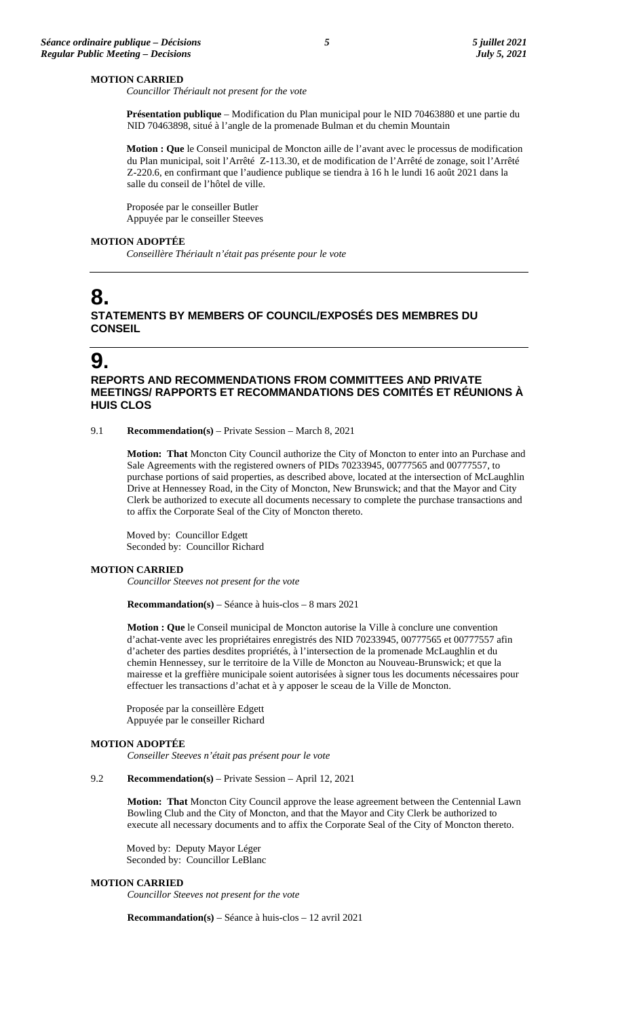#### **MOTION CARRIED**

*Councillor Thériault not present for the vote*

**Présentation publique** – Modification du Plan municipal pour le NID 70463880 et une partie du NID 70463898, situé à l'angle de la promenade Bulman et du chemin Mountain

**Motion : Que** le Conseil municipal de Moncton aille de l'avant avec le processus de modification du Plan municipal, soit l'Arrêté Z-113.30, et de modification de l'Arrêté de zonage, soit l'Arrêté Z-220.6, en confirmant que l'audience publique se tiendra à 16 h le lundi 16 août 2021 dans la salle du conseil de l'hôtel de ville.

Proposée par le conseiller Butler Appuyée par le conseiller Steeves

#### **MOTION ADOPTÉE**

*Conseillère Thériault n'était pas présente pour le vote*

## **8. STATEMENTS BY MEMBERS OF COUNCIL/EXPOSÉS DES MEMBRES DU CONSEIL**

## **9.**

## **REPORTS AND RECOMMENDATIONS FROM COMMITTEES AND PRIVATE MEETINGS/ RAPPORTS ET RECOMMANDATIONS DES COMITÉS ET RÉUNIONS À HUIS CLOS**

9.1 **Recommendation(s)** – Private Session – March 8, 2021

**Motion: That** Moncton City Council authorize the City of Moncton to enter into an Purchase and Sale Agreements with the registered owners of PIDs 70233945, 00777565 and 00777557, to purchase portions of said properties, as described above, located at the intersection of McLaughlin Drive at Hennessey Road, in the City of Moncton, New Brunswick; and that the Mayor and City Clerk be authorized to execute all documents necessary to complete the purchase transactions and to affix the Corporate Seal of the City of Moncton thereto.

Moved by: Councillor Edgett Seconded by: Councillor Richard

#### **MOTION CARRIED**

*Councillor Steeves not present for the vote*

**Recommandation(s)** – Séance à huis-clos – 8 mars 2021

**Motion : Que** le Conseil municipal de Moncton autorise la Ville à conclure une convention d'achat-vente avec les propriétaires enregistrés des NID 70233945, 00777565 et 00777557 afin d'acheter des parties desdites propriétés, à l'intersection de la promenade McLaughlin et du chemin Hennessey, sur le territoire de la Ville de Moncton au Nouveau-Brunswick; et que la mairesse et la greffière municipale soient autorisées à signer tous les documents nécessaires pour effectuer les transactions d'achat et à y apposer le sceau de la Ville de Moncton.

Proposée par la conseillère Edgett Appuyée par le conseiller Richard

#### **MOTION ADOPTÉE**

*Conseiller Steeves n'était pas présent pour le vote*

#### 9.2 **Recommendation(s)** – Private Session – April 12, 2021

**Motion: That** Moncton City Council approve the lease agreement between the Centennial Lawn Bowling Club and the City of Moncton, and that the Mayor and City Clerk be authorized to execute all necessary documents and to affix the Corporate Seal of the City of Moncton thereto.

Moved by: Deputy Mayor Léger Seconded by: Councillor LeBlanc

#### **MOTION CARRIED**

*Councillor Steeves not present for the vote*

**Recommandation(s)** – Séance à huis-clos – 12 avril 2021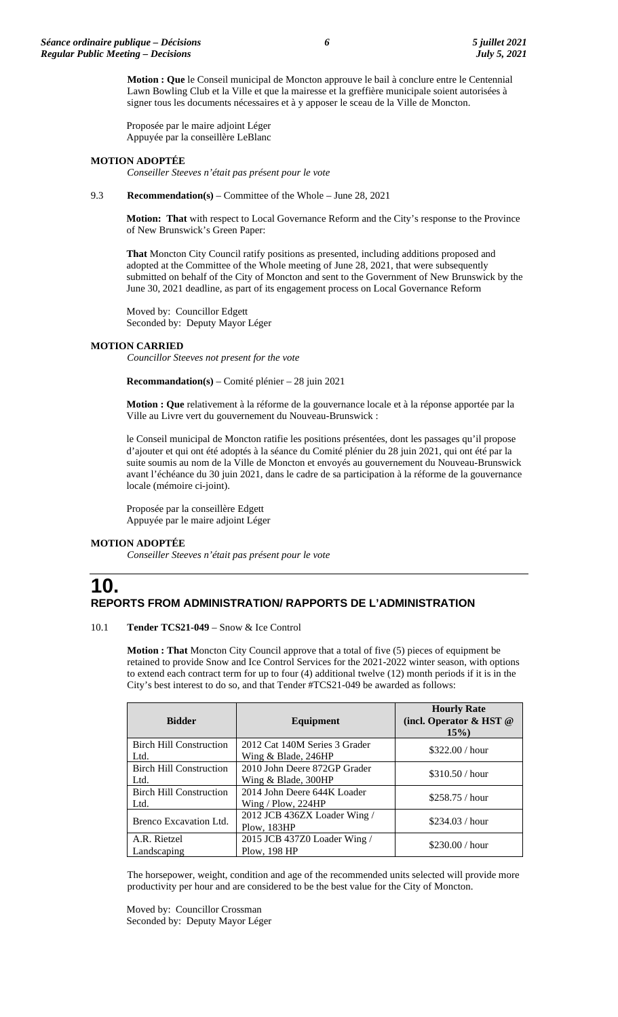**Motion : Que** le Conseil municipal de Moncton approuve le bail à conclure entre le Centennial Lawn Bowling Club et la Ville et que la mairesse et la greffière municipale soient autorisées à signer tous les documents nécessaires et à y apposer le sceau de la Ville de Moncton.

Proposée par le maire adjoint Léger Appuyée par la conseillère LeBlanc

#### **MOTION ADOPTÉE**

*Conseiller Steeves n'était pas présent pour le vote*

#### 9.3 **Recommendation(s)** – Committee of the Whole – June 28, 2021

**Motion: That** with respect to Local Governance Reform and the City's response to the Province of New Brunswick's Green Paper:

**That** Moncton City Council ratify positions as presented, including additions proposed and adopted at the Committee of the Whole meeting of June 28, 2021, that were subsequently submitted on behalf of the City of Moncton and sent to the Government of New Brunswick by the June 30, 2021 deadline, as part of its engagement process on Local Governance Reform

Moved by: Councillor Edgett Seconded by: Deputy Mayor Léger

#### **MOTION CARRIED**

*Councillor Steeves not present for the vote*

**Recommandation(s)** – Comité plénier – 28 juin 2021

**Motion : Que** relativement à la réforme de la gouvernance locale et à la réponse apportée par la Ville au Livre vert du gouvernement du Nouveau-Brunswick :

le Conseil municipal de Moncton ratifie les positions présentées, dont les passages qu'il propose d'ajouter et qui ont été adoptés à la séance du Comité plénier du 28 juin 2021, qui ont été par la suite soumis au nom de la Ville de Moncton et envoyés au gouvernement du Nouveau-Brunswick avant l'échéance du 30 juin 2021, dans le cadre de sa participation à la réforme de la gouvernance locale (mémoire ci-joint).

Proposée par la conseillère Edgett Appuyée par le maire adjoint Léger

### **MOTION ADOPTÉE**

*Conseiller Steeves n'était pas présent pour le vote*

## **10. REPORTS FROM ADMINISTRATION/ RAPPORTS DE L'ADMINISTRATION**

#### 10.1 **Tender TCS21-049** – Snow & Ice Control

**Motion : That** Moncton City Council approve that a total of five (5) pieces of equipment be retained to provide Snow and Ice Control Services for the 2021-2022 winter season, with options to extend each contract term for up to four (4) additional twelve (12) month periods if it is in the City's best interest to do so, and that Tender #TCS21-049 be awarded as follows:

| <b>Bidder</b>                          | Equipment                                              | <b>Hourly Rate</b><br>(incl. Operator & HST @<br>$15\%$ |
|----------------------------------------|--------------------------------------------------------|---------------------------------------------------------|
| <b>Birch Hill Construction</b><br>Ltd. | 2012 Cat 140M Series 3 Grader<br>Wing & Blade, 246HP   | \$322.00 / hour                                         |
| <b>Birch Hill Construction</b><br>Ltd. | 2010 John Deere 872GP Grader<br>Wing $\&$ Blade, 300HP | \$310.50 / hour                                         |
| <b>Birch Hill Construction</b><br>Ltd. | 2014 John Deere 644K Loader<br>Wing / $Plow, 224HP$    | \$258.75 / hour                                         |
| Brenco Excavation Ltd.                 | 2012 JCB 436ZX Loader Wing /<br>Plow, 183HP            | \$234.03 / hour                                         |
| A.R. Rietzel<br>Landscaping            | 2015 JCB 437Z0 Loader Wing /<br>Plow, 198 HP           | \$230.00 / hour                                         |

The horsepower, weight, condition and age of the recommended units selected will provide more productivity per hour and are considered to be the best value for the City of Moncton.

Moved by: Councillor Crossman Seconded by: Deputy Mayor Léger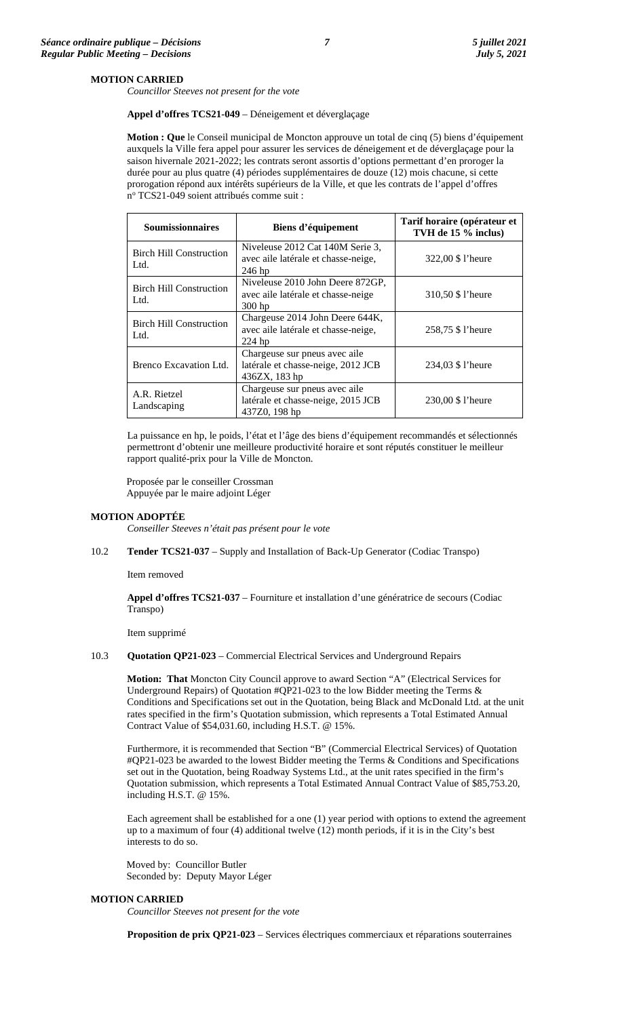#### **MOTION CARRIED**

*Councillor Steeves not present for the vote*

**Appel d'offres TCS21-049** – Déneigement et déverglaçage

**Motion : Que** le Conseil municipal de Moncton approuve un total de cinq (5) biens d'équipement auxquels la Ville fera appel pour assurer les services de déneigement et de déverglaçage pour la saison hivernale 2021-2022; les contrats seront assortis d'options permettant d'en proroger la durée pour au plus quatre (4) périodes supplémentaires de douze (12) mois chacune, si cette prorogation répond aux intérêts supérieurs de la Ville, et que les contrats de l'appel d'offres nº TCS21-049 soient attribués comme suit :

| <b>Soumissionnaires</b>                | Biens d'équipement                                                                   | Tarif horaire (opérateur et<br>TVH de 15 % inclus) |
|----------------------------------------|--------------------------------------------------------------------------------------|----------------------------------------------------|
| <b>Birch Hill Construction</b><br>Ltd. | Niveleuse 2012 Cat 140M Serie 3,<br>avec aile latérale et chasse-neige,<br>$246$ hp  | 322,00 \$ l'heure                                  |
| <b>Birch Hill Construction</b><br>Ltd. | Niveleuse 2010 John Deere 872GP,<br>avec aile latérale et chasse-neige<br>$300$ hp   | 310,50 \$ l'heure                                  |
| <b>Birch Hill Construction</b><br>Ltd. | Chargeuse 2014 John Deere 644K,<br>avec aile latérale et chasse-neige,<br>$224$ hp   | 258,75 \$ l'heure                                  |
| Brenco Excavation Ltd.                 | Chargeuse sur pneus avec aile<br>latérale et chasse-neige, 2012 JCB<br>436ZX, 183 hp | 234,03 \$ l'heure                                  |
| A.R. Rietzel<br>Landscaping            | Chargeuse sur pneus avec aile<br>latérale et chasse-neige, 2015 JCB<br>437Z0, 198 hp | 230,00 \$ l'heure                                  |

La puissance en hp, le poids, l'état et l'âge des biens d'équipement recommandés et sélectionnés permettront d'obtenir une meilleure productivité horaire et sont réputés constituer le meilleur rapport qualité-prix pour la Ville de Moncton.

Proposée par le conseiller Crossman Appuyée par le maire adjoint Léger

#### **MOTION ADOPTÉE**

*Conseiller Steeves n'était pas présent pour le vote*

10.2 **Tender TCS21-037** – Supply and Installation of Back-Up Generator (Codiac Transpo)

Item removed

**Appel d'offres TCS21-037** – Fourniture et installation d'une génératrice de secours (Codiac Transpo)

Item supprimé

### 10.3 **Quotation QP21-023** – Commercial Electrical Services and Underground Repairs

**Motion: That** Moncton City Council approve to award Section "A" (Electrical Services for Underground Repairs) of Quotation #QP21-023 to the low Bidder meeting the Terms & Conditions and Specifications set out in the Quotation, being Black and McDonald Ltd. at the unit rates specified in the firm's Quotation submission, which represents a Total Estimated Annual Contract Value of \$54,031.60, including H.S.T. @ 15%.

Furthermore, it is recommended that Section "B" (Commercial Electrical Services) of Quotation #QP21-023 be awarded to the lowest Bidder meeting the Terms & Conditions and Specifications set out in the Quotation, being Roadway Systems Ltd., at the unit rates specified in the firm's Quotation submission, which represents a Total Estimated Annual Contract Value of \$85,753.20, including H.S.T. @ 15%.

Each agreement shall be established for a one (1) year period with options to extend the agreement up to a maximum of four (4) additional twelve (12) month periods, if it is in the City's best interests to do so.

Moved by: Councillor Butler Seconded by: Deputy Mayor Léger

### **MOTION CARRIED**

*Councillor Steeves not present for the vote*

**Proposition de prix QP21-023** – Services électriques commerciaux et réparations souterraines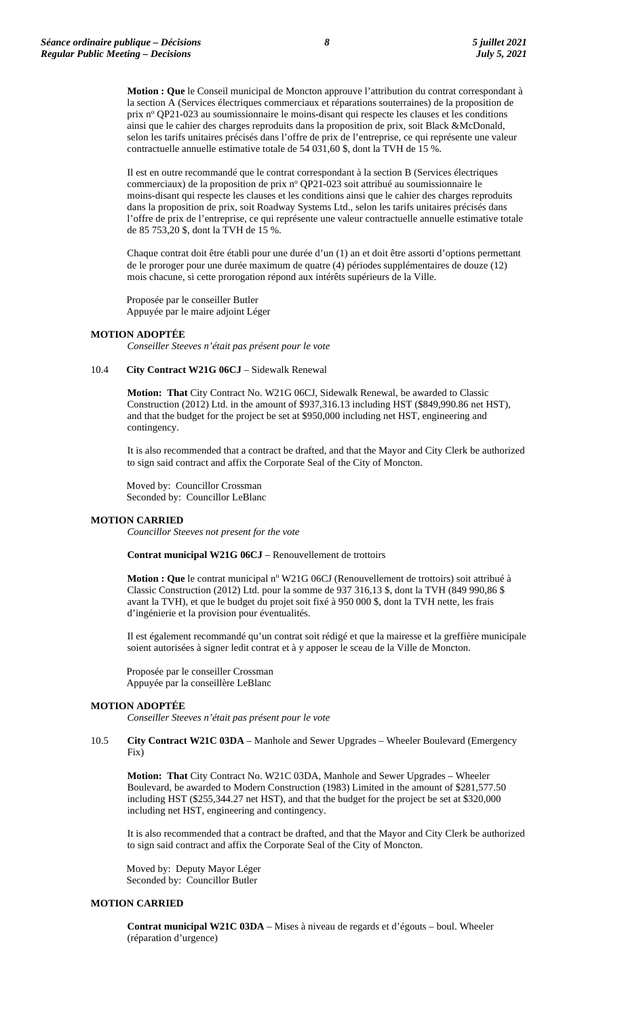**Motion : Que** le Conseil municipal de Moncton approuve l'attribution du contrat correspondant à la section A (Services électriques commerciaux et réparations souterraines) de la proposition de prix nº QP21-023 au soumissionnaire le moins-disant qui respecte les clauses et les conditions ainsi que le cahier des charges reproduits dans la proposition de prix, soit Black &McDonald, selon les tarifs unitaires précisés dans l'offre de prix de l'entreprise, ce qui représente une valeur contractuelle annuelle estimative totale de 54 031,60 \$, dont la TVH de 15 %.

Il est en outre recommandé que le contrat correspondant à la section B (Services électriques commerciaux) de la proposition de prix nº QP21-023 soit attribué au soumissionnaire le moins-disant qui respecte les clauses et les conditions ainsi que le cahier des charges reproduits dans la proposition de prix, soit Roadway Systems Ltd., selon les tarifs unitaires précisés dans l'offre de prix de l'entreprise, ce qui représente une valeur contractuelle annuelle estimative totale de 85 753,20 \$, dont la TVH de 15 %.

Chaque contrat doit être établi pour une durée d'un (1) an et doit être assorti d'options permettant de le proroger pour une durée maximum de quatre (4) périodes supplémentaires de douze (12) mois chacune, si cette prorogation répond aux intérêts supérieurs de la Ville.

Proposée par le conseiller Butler Appuyée par le maire adjoint Léger

#### **MOTION ADOPTÉE**

*Conseiller Steeves n'était pas présent pour le vote*

#### 10.4 **City Contract W21G 06CJ** – Sidewalk Renewal

**Motion: That** City Contract No. W21G 06CJ, Sidewalk Renewal, be awarded to Classic Construction (2012) Ltd. in the amount of \$937,316.13 including HST (\$849,990.86 net HST), and that the budget for the project be set at \$950,000 including net HST, engineering and contingency.

It is also recommended that a contract be drafted, and that the Mayor and City Clerk be authorized to sign said contract and affix the Corporate Seal of the City of Moncton.

Moved by: Councillor Crossman Seconded by: Councillor LeBlanc

#### **MOTION CARRIED**

*Councillor Steeves not present for the vote*

**Contrat municipal W21G 06CJ** – Renouvellement de trottoirs

**Motion** : Que le contrat municipal n° W21G 06CJ (Renouvellement de trottoirs) soit attribué à Classic Construction (2012) Ltd. pour la somme de 937 316,13 \$, dont la TVH (849 990,86 \$ avant la TVH), et que le budget du projet soit fixé à 950 000 \$, dont la TVH nette, les frais d'ingénierie et la provision pour éventualités.

Il est également recommandé qu'un contrat soit rédigé et que la mairesse et la greffière municipale soient autorisées à signer ledit contrat et à y apposer le sceau de la Ville de Moncton.

Proposée par le conseiller Crossman Appuyée par la conseillère LeBlanc

#### **MOTION ADOPTÉE**

*Conseiller Steeves n'était pas présent pour le vote*

#### 10.5 **City Contract W21C 03DA** – Manhole and Sewer Upgrades – Wheeler Boulevard (Emergency Fix)

**Motion: That** City Contract No. W21C 03DA, Manhole and Sewer Upgrades – Wheeler Boulevard, be awarded to Modern Construction (1983) Limited in the amount of \$281,577.50 including HST (\$255,344.27 net HST), and that the budget for the project be set at \$320,000 including net HST, engineering and contingency.

It is also recommended that a contract be drafted, and that the Mayor and City Clerk be authorized to sign said contract and affix the Corporate Seal of the City of Moncton.

Moved by: Deputy Mayor Léger Seconded by: Councillor Butler

#### **MOTION CARRIED**

**Contrat municipal W21C 03DA** – Mises à niveau de regards et d'égouts – boul. Wheeler (réparation d'urgence)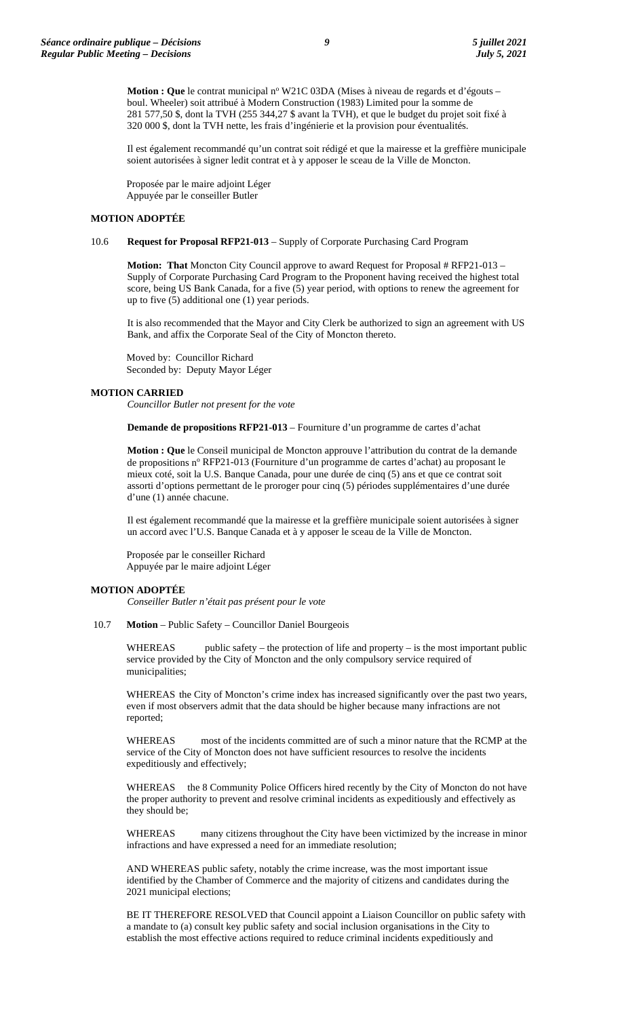**Motion : Que** le contrat municipal n° W21C 03DA (Mises à niveau de regards et d'égouts – boul. Wheeler) soit attribué à Modern Construction (1983) Limited pour la somme de 281 577,50 \$, dont la TVH (255 344,27 \$ avant la TVH), et que le budget du projet soit fixé à 320 000 \$, dont la TVH nette, les frais d'ingénierie et la provision pour éventualités.

Il est également recommandé qu'un contrat soit rédigé et que la mairesse et la greffière municipale soient autorisées à signer ledit contrat et à y apposer le sceau de la Ville de Moncton.

Proposée par le maire adjoint Léger Appuyée par le conseiller Butler

#### **MOTION ADOPTÉE**

#### 10.6 **Request for Proposal RFP21-013** – Supply of Corporate Purchasing Card Program

**Motion: That** Moncton City Council approve to award Request for Proposal # RFP21-013 -Supply of Corporate Purchasing Card Program to the Proponent having received the highest total score, being US Bank Canada, for a five (5) year period, with options to renew the agreement for up to five (5) additional one (1) year periods.

It is also recommended that the Mayor and City Clerk be authorized to sign an agreement with US Bank, and affix the Corporate Seal of the City of Moncton thereto.

Moved by: Councillor Richard Seconded by: Deputy Mayor Léger

#### **MOTION CARRIED**

*Councillor Butler not present for the vote*

**Demande de propositions RFP21-013** – Fourniture d'un programme de cartes d'achat

**Motion : Que** le Conseil municipal de Moncton approuve l'attribution du contrat de la demande de propositions nº RFP21-013 (Fourniture d'un programme de cartes d'achat) au proposant le mieux coté, soit la U.S. Banque Canada, pour une durée de cinq (5) ans et que ce contrat soit assorti d'options permettant de le proroger pour cinq (5) périodes supplémentaires d'une durée d'une (1) année chacune.

Il est également recommandé que la mairesse et la greffière municipale soient autorisées à signer un accord avec l'U.S. Banque Canada et à y apposer le sceau de la Ville de Moncton.

Proposée par le conseiller Richard Appuyée par le maire adjoint Léger

#### **MOTION ADOPTÉE**

*Conseiller Butler n'était pas présent pour le vote*

10.7 **Motion** – Public Safety – Councillor Daniel Bourgeois

WHEREAS public safety – the protection of life and property – is the most important public service provided by the City of Moncton and the only compulsory service required of municipalities;

WHEREAS the City of Moncton's crime index has increased significantly over the past two years, even if most observers admit that the data should be higher because many infractions are not reported;

WHEREAS most of the incidents committed are of such a minor nature that the RCMP at the service of the City of Moncton does not have sufficient resources to resolve the incidents expeditiously and effectively;

WHEREAS the 8 Community Police Officers hired recently by the City of Moncton do not have the proper authority to prevent and resolve criminal incidents as expeditiously and effectively as they should be;

WHEREAS many citizens throughout the City have been victimized by the increase in minor infractions and have expressed a need for an immediate resolution;

AND WHEREAS public safety, notably the crime increase, was the most important issue identified by the Chamber of Commerce and the majority of citizens and candidates during the 2021 municipal elections;

BE IT THEREFORE RESOLVED that Council appoint a Liaison Councillor on public safety with a mandate to (a) consult key public safety and social inclusion organisations in the City to establish the most effective actions required to reduce criminal incidents expeditiously and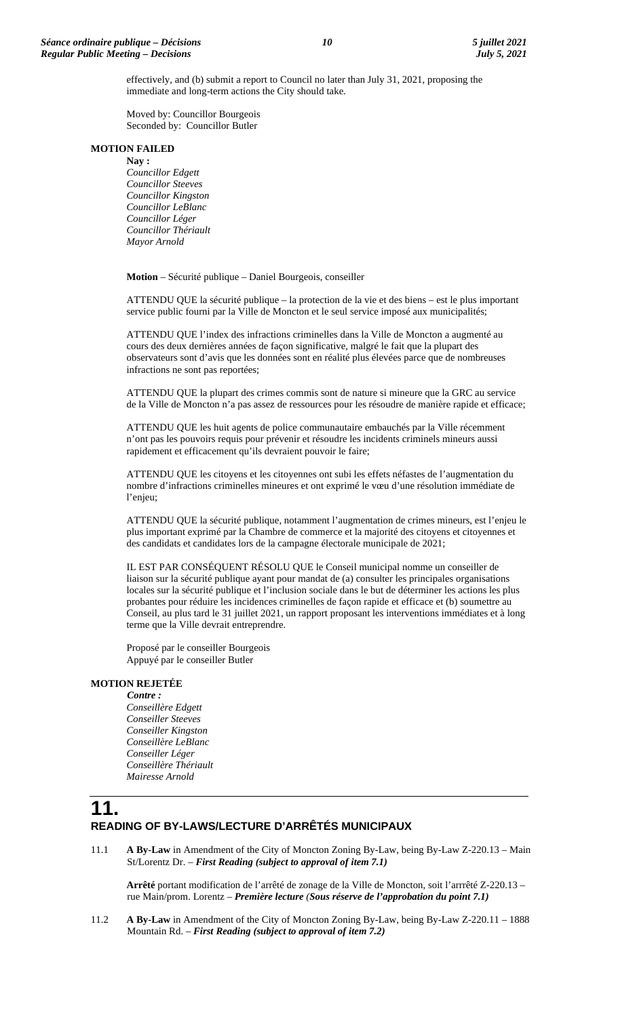effectively, and (b) submit a report to Council no later than July 31, 2021, proposing the immediate and long-term actions the City should take.

Moved by: Councillor Bourgeois Seconded by: Councillor Butler

#### **MOTION FAILED**

**Nay :** *Councillor Edgett Councillor Steeves Councillor Kingston Councillor LeBlanc Councillor Léger Councillor Thériault Mayor Arnold*

**Motion** – Sécurité publique – Daniel Bourgeois, conseiller

ATTENDU QUE la sécurité publique – la protection de la vie et des biens – est le plus important service public fourni par la Ville de Moncton et le seul service imposé aux municipalités;

ATTENDU QUE l'index des infractions criminelles dans la Ville de Moncton a augmenté au cours des deux dernières années de façon significative, malgré le fait que la plupart des observateurs sont d'avis que les données sont en réalité plus élevées parce que de nombreuses infractions ne sont pas reportées;

ATTENDU QUE la plupart des crimes commis sont de nature si mineure que la GRC au service de la Ville de Moncton n'a pas assez de ressources pour les résoudre de manière rapide et efficace;

ATTENDU QUE les huit agents de police communautaire embauchés par la Ville récemment n'ont pas les pouvoirs requis pour prévenir et résoudre les incidents criminels mineurs aussi rapidement et efficacement qu'ils devraient pouvoir le faire;

ATTENDU QUE les citoyens et les citoyennes ont subi les effets néfastes de l'augmentation du nombre d'infractions criminelles mineures et ont exprimé le vœu d'une résolution immédiate de l'enjeu;

ATTENDU QUE la sécurité publique, notamment l'augmentation de crimes mineurs, est l'enjeu le plus important exprimé par la Chambre de commerce et la majorité des citoyens et citoyennes et des candidats et candidates lors de la campagne électorale municipale de 2021;

IL EST PAR CONSÉQUENT RÉSOLU QUE le Conseil municipal nomme un conseiller de liaison sur la sécurité publique ayant pour mandat de (a) consulter les principales organisations locales sur la sécurité publique et l'inclusion sociale dans le but de déterminer les actions les plus probantes pour réduire les incidences criminelles de façon rapide et efficace et (b) soumettre au Conseil, au plus tard le 31 juillet 2021, un rapport proposant les interventions immédiates et à long terme que la Ville devrait entreprendre.

Proposé par le conseiller Bourgeois Appuyé par le conseiller Butler

#### **MOTION REJETÉE**

*Contre : Conseillère Edgett Conseiller Steeves Conseiller Kingston Conseillère LeBlanc Conseiller Léger Conseillère Thériault Mairesse Arnold*

## **11. READING OF BY-LAWS/LECTURE D'ARRÊTÉS MUNICIPAUX**

11.1 **A By-Law** in Amendment of the City of Moncton Zoning By-Law, being By-Law Z-220.13 – Main St/Lorentz Dr. – *First Reading (subject to approval of item 7.1)*

**Arrêté** portant modification de l'arrêté de zonage de la Ville de Moncton, soit l'arrrêté Z-220.13 – rue Main/prom. Lorentz – *Première lecture (Sous réserve de l'approbation du point 7.1)*

11.2 **A By-Law** in Amendment of the City of Moncton Zoning By-Law, being By-Law Z-220.11 – 1888 Mountain Rd. – *First Reading (subject to approval of item 7.2)*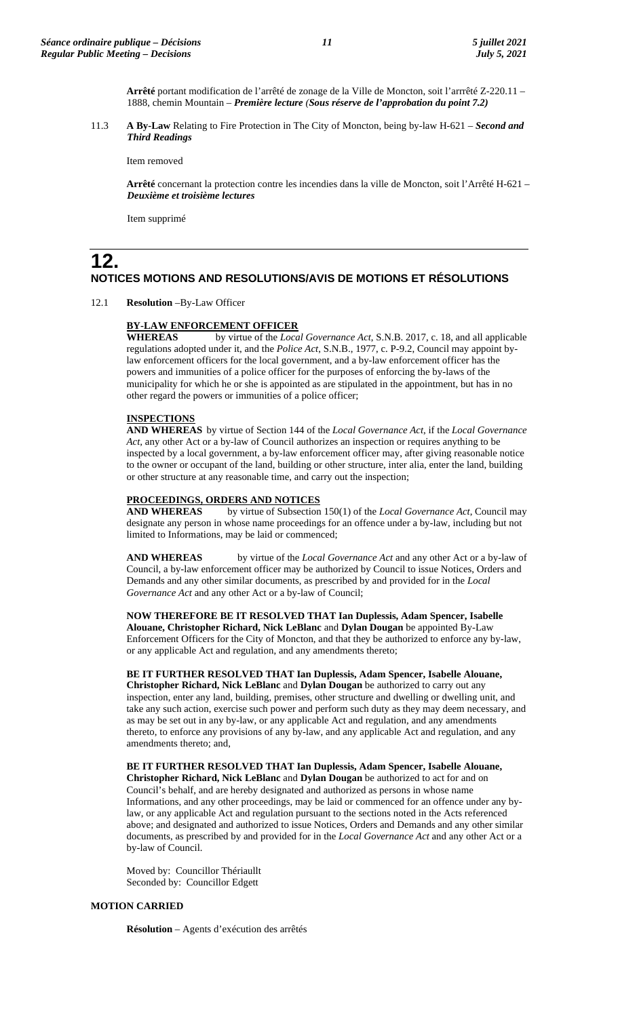**Arrêté** portant modification de l'arrêté de zonage de la Ville de Moncton, soit l'arrrêté Z-220.11 – 1888, chemin Mountain – *Première lecture (Sous réserve de l'approbation du point 7.2)*

11.3 **A By-Law** Relating to Fire Protection in The City of Moncton, being by-law H-621 – *Second and Third Readings*

Item removed

**Arrêté** concernant la protection contre les incendies dans la ville de Moncton, soit l'Arrêté H-621 – *Deuxième et troisième lectures*

Item supprimé

## **12. NOTICES MOTIONS AND RESOLUTIONS/AVIS DE MOTIONS ET RÉSOLUTIONS**

12.1 **Resolution** –By-Law Officer

#### **BY-LAW ENFORCEMENT OFFICER**

**WHEREAS** by virtue of the *Local Governance Act*, S.N.B. 2017, c. 18, and all applicable regulations adopted under it, and the *Police Act*, S.N.B., 1977, c. P-9.2, Council may appoint bylaw enforcement officers for the local government, and a by-law enforcement officer has the powers and immunities of a police officer for the purposes of enforcing the by-laws of the municipality for which he or she is appointed as are stipulated in the appointment, but has in no other regard the powers or immunities of a police officer;

#### **INSPECTIONS**

**AND WHEREAS** by virtue of Section 144 of the *Local Governance Act*, if the *Local Governance Act,* any other Act or a by-law of Council authorizes an inspection or requires anything to be inspected by a local government, a by-law enforcement officer may, after giving reasonable notice to the owner or occupant of the land, building or other structure, inter alia, enter the land, building or other structure at any reasonable time, and carry out the inspection;

# **PROCEEDINGS, ORDERS AND NOTICES**<br>**AND WHEREAS** by virtue of Subsection

by virtue of Subsection 150(1) of the *Local Governance Act*, Council may designate any person in whose name proceedings for an offence under a by-law, including but not limited to Informations, may be laid or commenced;

**AND WHEREAS** by virtue of the *Local Governance Act* and any other Act or a by-law of Council, a by-law enforcement officer may be authorized by Council to issue Notices, Orders and Demands and any other similar documents, as prescribed by and provided for in the *Local Governance Act* and any other Act or a by-law of Council;

**NOW THEREFORE BE IT RESOLVED THAT Ian Duplessis, Adam Spencer, Isabelle Alouane, Christopher Richard, Nick LeBlanc** and **Dylan Dougan** be appointed By-Law Enforcement Officers for the City of Moncton, and that they be authorized to enforce any by-law, or any applicable Act and regulation, and any amendments thereto;

### **BE IT FURTHER RESOLVED THAT Ian Duplessis, Adam Spencer, Isabelle Alouane,**

**Christopher Richard, Nick LeBlanc** and **Dylan Dougan** be authorized to carry out any inspection, enter any land, building, premises, other structure and dwelling or dwelling unit, and take any such action, exercise such power and perform such duty as they may deem necessary, and as may be set out in any by-law, or any applicable Act and regulation, and any amendments thereto, to enforce any provisions of any by-law, and any applicable Act and regulation, and any amendments thereto; and,

**BE IT FURTHER RESOLVED THAT Ian Duplessis, Adam Spencer, Isabelle Alouane, Christopher Richard, Nick LeBlanc** and **Dylan Dougan** be authorized to act for and on Council's behalf, and are hereby designated and authorized as persons in whose name Informations, and any other proceedings, may be laid or commenced for an offence under any bylaw, or any applicable Act and regulation pursuant to the sections noted in the Acts referenced above; and designated and authorized to issue Notices, Orders and Demands and any other similar documents, as prescribed by and provided for in the *Local Governance Act* and any other Act or a by-law of Council.

Moved by: Councillor Thériaullt Seconded by: Councillor Edgett

#### **MOTION CARRIED**

**Résolution** – Agents d'exécution des arrêtés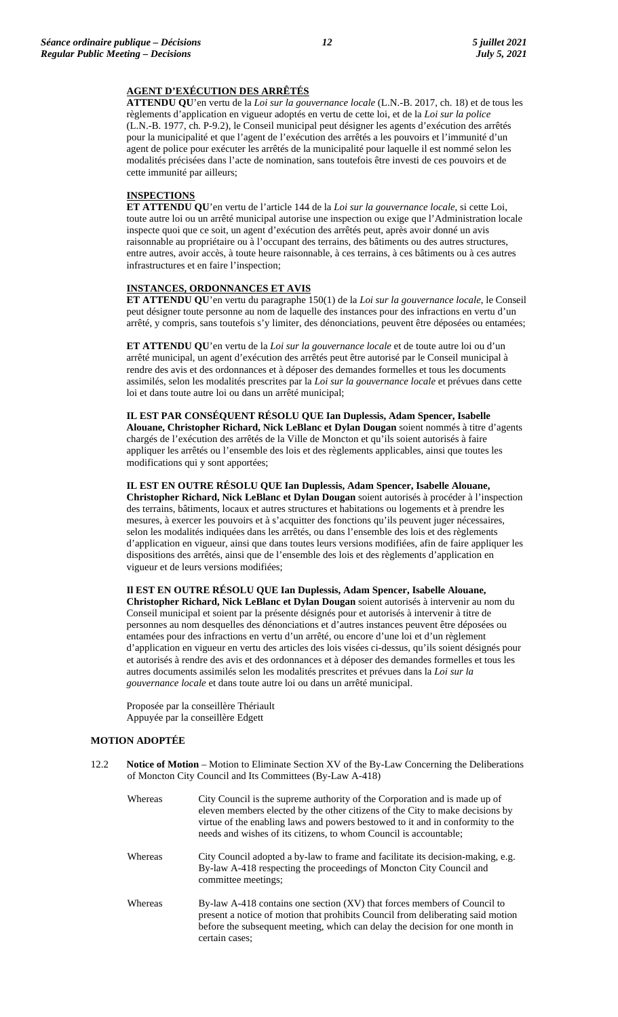#### **AGENT D'EXÉCUTION DES ARRÊTÉS**

**ATTENDU QU**'en vertu de la *Loi sur la gouvernance locale* (L.N.-B. 2017, ch. 18) et de tous les règlements d'application en vigueur adoptés en vertu de cette loi, et de la *Loi sur la police* (L.N.-B. 1977, ch. P-9.2), le Conseil municipal peut désigner les agents d'exécution des arrêtés pour la municipalité et que l'agent de l'exécution des arrêtés a les pouvoirs et l'immunité d'un agent de police pour exécuter les arrêtés de la municipalité pour laquelle il est nommé selon les modalités précisées dans l'acte de nomination, sans toutefois être investi de ces pouvoirs et de cette immunité par ailleurs;

#### **INSPECTIONS**

**ET ATTENDU QU**'en vertu de l'article 144 de la *Loi sur la gouvernance locale*, si cette Loi, toute autre loi ou un arrêté municipal autorise une inspection ou exige que l'Administration locale inspecte quoi que ce soit, un agent d'exécution des arrêtés peut, après avoir donné un avis raisonnable au propriétaire ou à l'occupant des terrains, des bâtiments ou des autres structures, entre autres, avoir accès, à toute heure raisonnable, à ces terrains, à ces bâtiments ou à ces autres infrastructures et en faire l'inspection;

#### **INSTANCES, ORDONNANCES ET AVIS**

**ET ATTENDU QU**'en vertu du paragraphe 150(1) de la *Loi sur la gouvernance locale*, le Conseil peut désigner toute personne au nom de laquelle des instances pour des infractions en vertu d'un arrêté, y compris, sans toutefois s'y limiter, des dénonciations, peuvent être déposées ou entamées;

**ET ATTENDU QU**'en vertu de la *Loi sur la gouvernance locale* et de toute autre loi ou d'un arrêté municipal, un agent d'exécution des arrêtés peut être autorisé par le Conseil municipal à rendre des avis et des ordonnances et à déposer des demandes formelles et tous les documents assimilés, selon les modalités prescrites par la *Loi sur la gouvernance locale* et prévues dans cette loi et dans toute autre loi ou dans un arrêté municipal;

**IL EST PAR CONSÉQUENT RÉSOLU QUE Ian Duplessis, Adam Spencer, Isabelle Alouane, Christopher Richard, Nick LeBlanc et Dylan Dougan** soient nommés à titre d'agents chargés de l'exécution des arrêtés de la Ville de Moncton et qu'ils soient autorisés à faire appliquer les arrêtés ou l'ensemble des lois et des règlements applicables, ainsi que toutes les modifications qui y sont apportées;

**IL EST EN OUTRE RÉSOLU QUE Ian Duplessis, Adam Spencer, Isabelle Alouane, Christopher Richard, Nick LeBlanc et Dylan Dougan** soient autorisés à procéder à l'inspection des terrains, bâtiments, locaux et autres structures et habitations ou logements et à prendre les mesures, à exercer les pouvoirs et à s'acquitter des fonctions qu'ils peuvent juger nécessaires, selon les modalités indiquées dans les arrêtés, ou dans l'ensemble des lois et des règlements d'application en vigueur, ainsi que dans toutes leurs versions modifiées, afin de faire appliquer les dispositions des arrêtés, ainsi que de l'ensemble des lois et des règlements d'application en vigueur et de leurs versions modifiées;

**Il EST EN OUTRE RÉSOLU QUE Ian Duplessis, Adam Spencer, Isabelle Alouane, Christopher Richard, Nick LeBlanc et Dylan Dougan** soient autorisés à intervenir au nom du Conseil municipal et soient par la présente désignés pour et autorisés à intervenir à titre de personnes au nom desquelles des dénonciations et d'autres instances peuvent être déposées ou entamées pour des infractions en vertu d'un arrêté, ou encore d'une loi et d'un règlement d'application en vigueur en vertu des articles des lois visées ci-dessus, qu'ils soient désignés pour et autorisés à rendre des avis et des ordonnances et à déposer des demandes formelles et tous les autres documents assimilés selon les modalités prescrites et prévues dans la *Loi sur la gouvernance locale* et dans toute autre loi ou dans un arrêté municipal.

Proposée par la conseillère Thériault Appuyée par la conseillère Edgett

#### **MOTION ADOPTÉE**

12.2 **Notice of Motion** – Motion to Eliminate Section XV of the By-Law Concerning the Deliberations of Moncton City Council and Its Committees (By-Law A-418)

| Whereas | City Council is the supreme authority of the Corporation and is made up of<br>eleven members elected by the other citizens of the City to make decisions by<br>virtue of the enabling laws and powers bestowed to it and in conformity to the<br>needs and wishes of its citizens, to whom Council is accountable; |
|---------|--------------------------------------------------------------------------------------------------------------------------------------------------------------------------------------------------------------------------------------------------------------------------------------------------------------------|
| Whereas | City Council adopted a by-law to frame and facilitate its decision-making, e.g.<br>By-law A-418 respecting the proceedings of Moncton City Council and<br>committee meetings;                                                                                                                                      |
| Whereas | By-law A-418 contains one section (XV) that forces members of Council to<br>present a notice of motion that prohibits Council from deliberating said motion<br>before the subsequent meeting, which can delay the decision for one month in<br>certain cases:                                                      |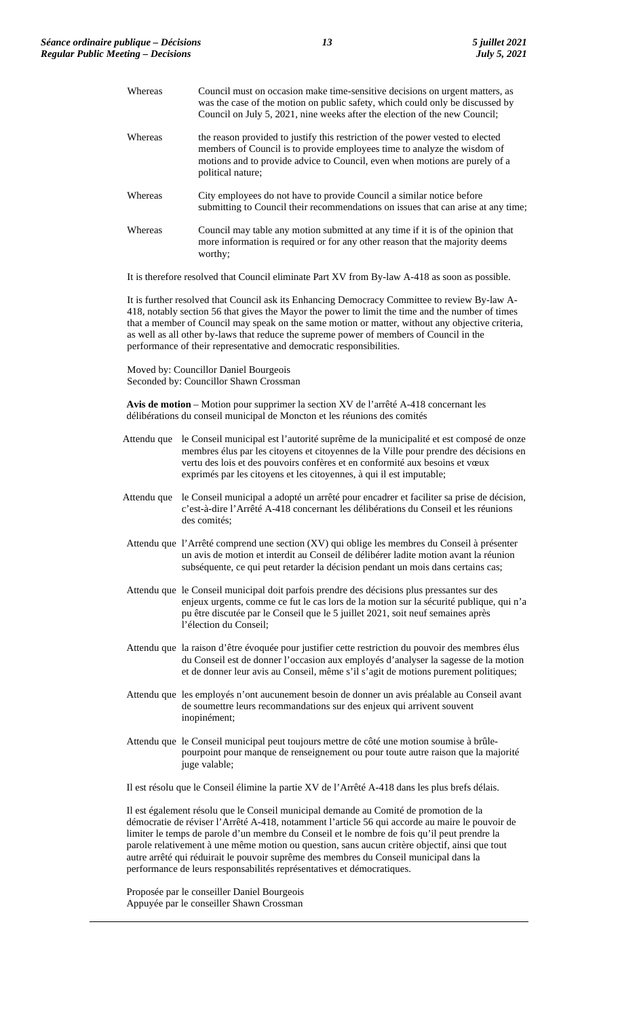| Whereas | Council must on occasion make time-sensitive decisions on urgent matters, as<br>was the case of the motion on public safety, which could only be discussed by<br>Council on July 5, 2021, nine weeks after the election of the new Council;                    |
|---------|----------------------------------------------------------------------------------------------------------------------------------------------------------------------------------------------------------------------------------------------------------------|
| Whereas | the reason provided to justify this restriction of the power vested to elected<br>members of Council is to provide employees time to analyze the wisdom of<br>motions and to provide advice to Council, even when motions are purely of a<br>political nature; |
| Whereas | City employees do not have to provide Council a similar notice before<br>submitting to Council their recommendations on issues that can arise at any time;                                                                                                     |
| Whereas | Council may table any motion submitted at any time if it is of the opinion that<br>more information is required or for any other reason that the majority deems<br>worthy;                                                                                     |
|         | $\mathbf{r}$ , a c and $\mathbf{r}$ and $\mathbf{r}$ and $\mathbf{r}$ and $\mathbf{r}$ and $\mathbf{r}$ and $\mathbf{r}$ and $\mathbf{r}$                                                                                                                      |

It is therefore resolved that Council eliminate Part XV from By-law A-418 as soon as possible.

It is further resolved that Council ask its Enhancing Democracy Committee to review By-law A-418, notably section 56 that gives the Mayor the power to limit the time and the number of times that a member of Council may speak on the same motion or matter, without any objective criteria, as well as all other by-laws that reduce the supreme power of members of Council in the performance of their representative and democratic responsibilities.

Moved by: Councillor Daniel Bourgeois Seconded by: Councillor Shawn Crossman

**Avis de motion** – Motion pour supprimer la section XV de l'arrêté A-418 concernant les délibérations du conseil municipal de Moncton et les réunions des comités

- Attendu que le Conseil municipal est l'autorité suprême de la municipalité et est composé de onze membres élus par les citoyens et citoyennes de la Ville pour prendre des décisions en vertu des lois et des pouvoirs confères et en conformité aux besoins et vœux exprimés par les citoyens et les citoyennes, à qui il est imputable;
- Attendu que le Conseil municipal a adopté un arrêté pour encadrer et faciliter sa prise de décision, c'est-à-dire l'Arrêté A-418 concernant les délibérations du Conseil et les réunions des comités;
- Attendu que l'Arrêté comprend une section (XV) qui oblige les membres du Conseil à présenter un avis de motion et interdit au Conseil de délibérer ladite motion avant la réunion subséquente, ce qui peut retarder la décision pendant un mois dans certains cas;
- Attendu que le Conseil municipal doit parfois prendre des décisions plus pressantes sur des enjeux urgents, comme ce fut le cas lors de la motion sur la sécurité publique, qui n'a pu être discutée par le Conseil que le 5 juillet 2021, soit neuf semaines après l'élection du Conseil;
- Attendu que la raison d'être évoquée pour justifier cette restriction du pouvoir des membres élus du Conseil est de donner l'occasion aux employés d'analyser la sagesse de la motion et de donner leur avis au Conseil, même s'il s'agit de motions purement politiques;
- Attendu que les employés n'ont aucunement besoin de donner un avis préalable au Conseil avant de soumettre leurs recommandations sur des enjeux qui arrivent souvent inopinément;
- Attendu que le Conseil municipal peut toujours mettre de côté une motion soumise à brûlepourpoint pour manque de renseignement ou pour toute autre raison que la majorité juge valable:

Il est résolu que le Conseil élimine la partie XV de l'Arrêté A-418 dans les plus brefs délais.

Il est également résolu que le Conseil municipal demande au Comité de promotion de la démocratie de réviser l'Arrêté A-418, notamment l'article 56 qui accorde au maire le pouvoir de limiter le temps de parole d'un membre du Conseil et le nombre de fois qu'il peut prendre la parole relativement à une même motion ou question, sans aucun critère objectif, ainsi que tout autre arrêté qui réduirait le pouvoir suprême des membres du Conseil municipal dans la performance de leurs responsabilités représentatives et démocratiques.

Proposée par le conseiller Daniel Bourgeois Appuyée par le conseiller Shawn Crossman